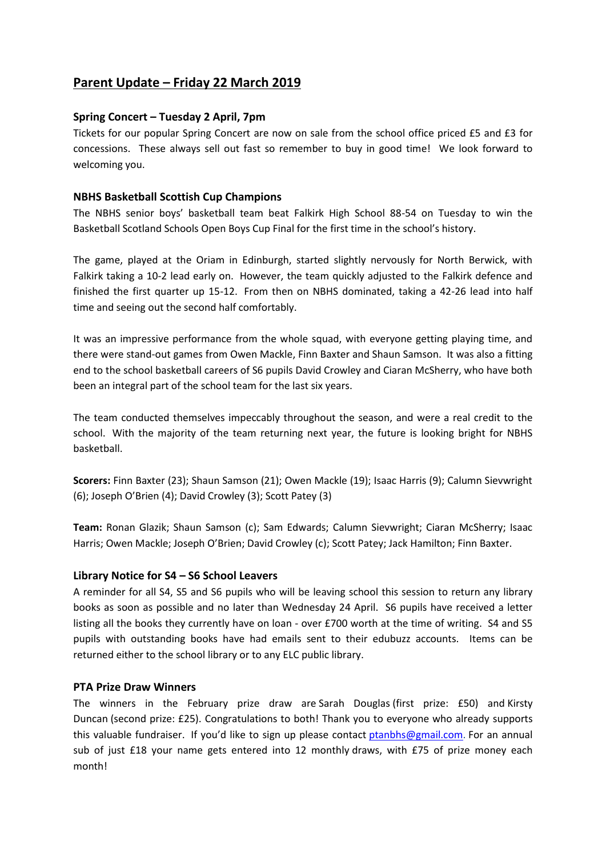# **Parent Update – Friday 22 March 2019**

## **Spring Concert – Tuesday 2 April, 7pm**

Tickets for our popular Spring Concert are now on sale from the school office priced £5 and £3 for concessions. These always sell out fast so remember to buy in good time! We look forward to welcoming you.

### **NBHS Basketball Scottish Cup Champions**

The NBHS senior boys' basketball team beat Falkirk High School 88-54 on Tuesday to win the Basketball Scotland Schools Open Boys Cup Final for the first time in the school's history.

The game, played at the Oriam in Edinburgh, started slightly nervously for North Berwick, with Falkirk taking a 10-2 lead early on. However, the team quickly adjusted to the Falkirk defence and finished the first quarter up 15-12. From then on NBHS dominated, taking a 42-26 lead into half time and seeing out the second half comfortably.

It was an impressive performance from the whole squad, with everyone getting playing time, and there were stand-out games from Owen Mackle, Finn Baxter and Shaun Samson. It was also a fitting end to the school basketball careers of S6 pupils David Crowley and Ciaran McSherry, who have both been an integral part of the school team for the last six years.

The team conducted themselves impeccably throughout the season, and were a real credit to the school. With the majority of the team returning next year, the future is looking bright for NBHS basketball.

**Scorers:** Finn Baxter (23); Shaun Samson (21); Owen Mackle (19); Isaac Harris (9); Calumn Sievwright (6); Joseph O'Brien (4); David Crowley (3); Scott Patey (3)

**Team:** Ronan Glazik; Shaun Samson (c); Sam Edwards; Calumn Sievwright; Ciaran McSherry; Isaac Harris; Owen Mackle; Joseph O'Brien; David Crowley (c); Scott Patey; Jack Hamilton; Finn Baxter.

#### **Library Notice for S4 – S6 School Leavers**

A reminder for all S4, S5 and S6 pupils who will be leaving school this session to return any library books as soon as possible and no later than Wednesday 24 April. S6 pupils have received a letter listing all the books they currently have on loan - over £700 worth at the time of writing. S4 and S5 pupils with outstanding books have had emails sent to their edubuzz accounts. Items can be returned either to the school library or to any ELC public library.

#### **PTA Prize Draw Winners**

The winners in the February prize draw are Sarah Douglas (first prize: £50) and Kirsty Duncan (second prize: £25). Congratulations to both! Thank you to everyone who already supports this valuable fundraiser. If you'd like to sign up please contact [ptanbhs@gmail.com.](mailto:ptanbhs@gmail.com) For an annual sub of just £18 your name gets entered into 12 monthly draws, with £75 of prize money each month!